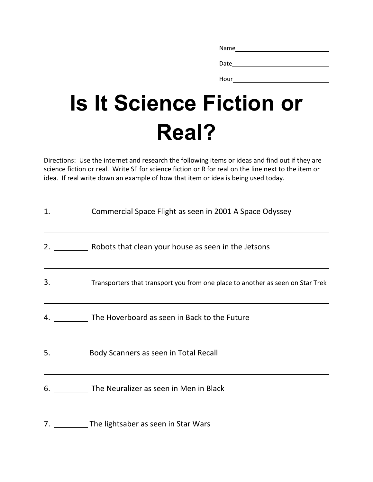| Name |  |  |  |
|------|--|--|--|
|      |  |  |  |
| Date |  |  |  |

Hour

## **Is It Science Fiction or Real?**

Directions: Use the internet and research the following items or ideas and find out if they are science fiction or real. Write SF for science fiction or R for real on the line next to the item or idea. If real write down an example of how that item or idea is being used today.

| 1. Commercial Space Flight as seen in 2001 A Space Odyssey                                                                                                                                            |
|-------------------------------------------------------------------------------------------------------------------------------------------------------------------------------------------------------|
| 2. ___________ Robots that clean your house as seen in the Jetsons                                                                                                                                    |
| 3. _____________ Transporters that transport you from one place to another as seen on Star Trek                                                                                                       |
| 4. The Hoverboard as seen in Back to the Future                                                                                                                                                       |
| ,我们也不会有一个人的人,我们也不会有一个人的人,我们也不会有一个人的人。""我们,我们也不会有一个人的人,我们也不会有一个人的人,我们也不会有一个人的人。""我<br>5. <b>Body Scanners as seen in Total Recall</b>                                                                  |
| <u> 1989 - Johann Stoff, deutscher Stoff, der Stoff, der Stoff, der Stoff, der Stoff, der Stoff, der Stoff, der S</u><br>6. ___________ The Neuralizer as seen in Men in Black                        |
| ,我们也不能在这里的时候,我们也不能在这里的时候,我们也不能会不能会不能会不能会不能会不能会不能会不能会不能会不能会。<br>第2012章 我们的时候,我们的时候,我们的时候,我们的时候,我们的时候,我们的时候,我们的时候,我们的时候,我们的时候,我们的时候,我们的时候,我们的时候,我<br>7. ___________ The lightsaber as seen in Star Wars |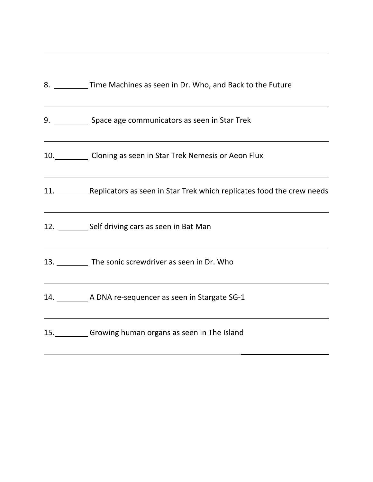| 8. Time Machines as seen in Dr. Who, and Back to the Future                                                                                                                    |
|--------------------------------------------------------------------------------------------------------------------------------------------------------------------------------|
| ,我们也不能在这里的时候,我们也不能在这里的时候,我们也不能会在这里的时候,我们也不能会在这里的时候,我们也不能会在这里的时候,我们也不能会在这里的时候,我们也<br>9. Space age communicators as seen in Star Trek                                            |
| <u> 1989 - Johann Stoff, deutscher Stoffen und der Stoffen und der Stoffen und der Stoffen und der Stoffen und de</u><br>10. Cloning as seen in Star Trek Nemesis or Aeon Flux |
| ,我们也不会有什么。""我们的人,我们也不会有什么?""我们的人,我们也不会有什么?""我们的人,我们也不会有什么?""我们的人,我们也不会有什么?""我们的人<br>11. Replicators as seen in Star Trek which replicates food the crew needs                  |
| ,我们也不会有什么。""我们的人,我们也不会有什么?""我们的人,我们也不会有什么?""我们的人,我们也不会有什么?""我们的人,我们也不会有什么?""我们的人<br>12. _________ Self driving cars as seen in Bat Man                                         |
| ,我们也不会有什么。""我们的人,我们也不会有什么?""我们的人,我们也不会有什么?""我们的人,我们也不会有什么?""我们的人,我们也不会有什么?""我们的人<br>13. The sonic screwdriver as seen in Dr. Who                                               |
| <u> 1989 - Johann Stoff, amerikansk politiker (* 1908)</u><br>14. ___________ A DNA re-sequencer as seen in Stargate SG-1                                                      |
| ,我们也不会有什么。""我们的人,我们也不会有什么?""我们的人,我们也不会有什么?""我们的人,我们也不会有什么?""我们的人,我们也不会有什么?""我们的人<br>15. Growing human organs as seen in The Island                                             |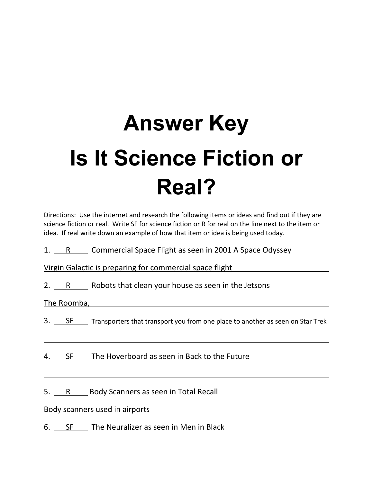## **Answer Key Is It Science Fiction or Real?**

Directions: Use the internet and research the following items or ideas and find out if they are science fiction or real. Write SF for science fiction or R for real on the line next to the item or idea. If real write down an example of how that item or idea is being used today.

1.  $\overline{R}$  Commercial Space Flight as seen in 2001 A Space Odyssey

Virgin Galactic is preparing for commercial space flight

2. R Robots that clean your house as seen in the Jetsons

The Roomba,

- 3. SF  $\quad$  Transporters that transport you from one place to another as seen on Star Trek
- 4. SF The Hoverboard as seen in Back to the Future

5. R Body Scanners as seen in Total Recall

Body scanners used in airports

6. SF The Neuralizer as seen in Men in Black